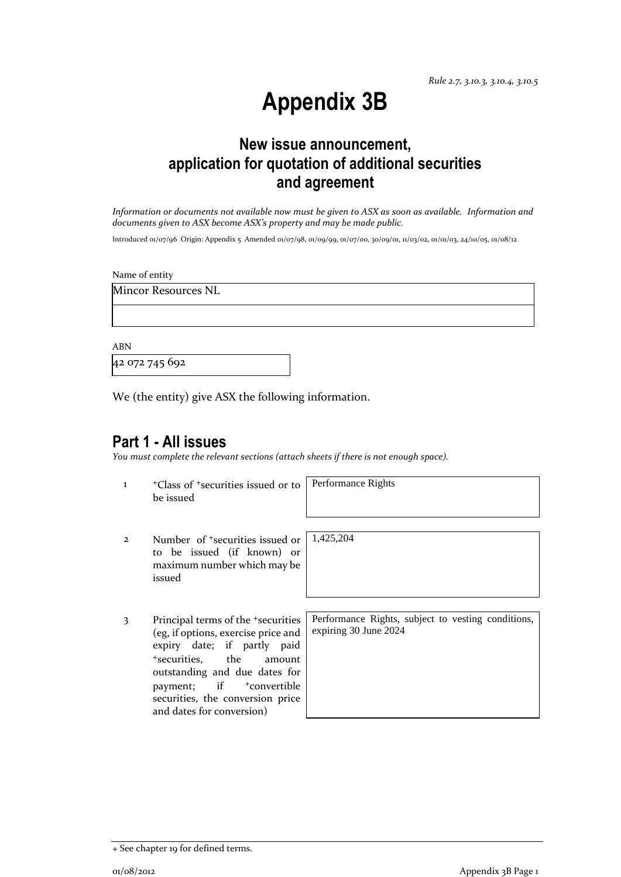# **Appendix 3B**

## **New issue announcement, application for quotation of additional securities and agreement**

*Information or documents not available now must be given to ASX as soon as available. Information and documents given to ASX become ASX's property and may be made public.*

Introduced 01/07/96 Origin: Appendix 5 Amended 01/07/98, 01/09/99, 01/07/00, 30/09/01, 11/03/02, 01/01/03, 24/10/05, 01/08/12

Name of entity

Mincor Resources NL

ABN

42 072 745 692

We (the entity) give ASX the following information.

### **Part 1 - All issues**

*You must complete the relevant sections (attach sheets if there is not enough space).*

<sup>1</sup> +Class of <sup>+</sup>securities issued or to be issued

Performance Rights

- 2 Number of +securities issued or to be issued (if known) or maximum number which may be issued
- 3 Principal terms of the +securities (eg, if options, exercise price and expiry date; if partly paid <sup>+</sup>securities, the amount outstanding and due dates for payment; if  $+$ convertible securities, the conversion price and dates for conversion)

1,425,204

Performance Rights, subject to vesting conditions, expiring 30 June 2024

<sup>+</sup> See chapter 19 for defined terms.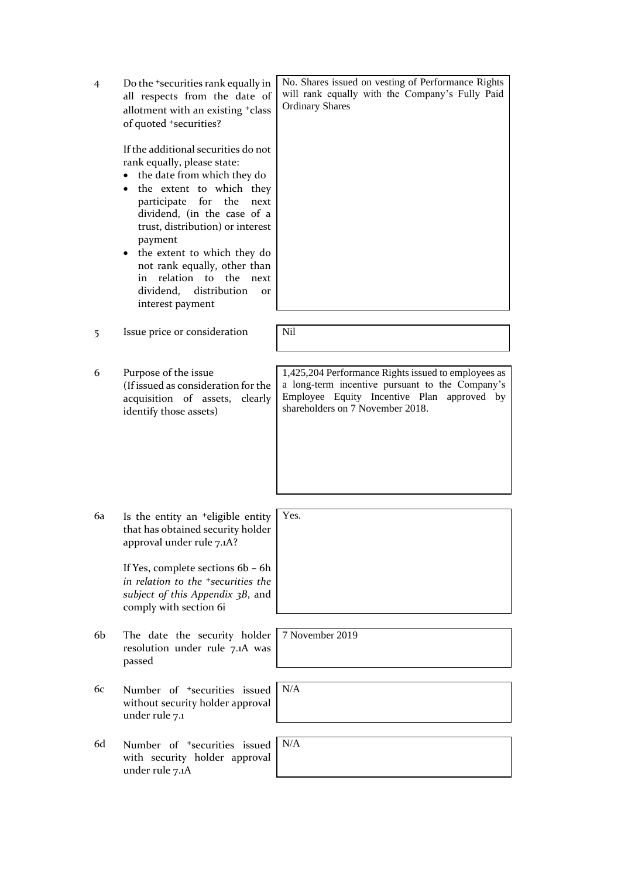| $\overline{4}$ | Do the <sup>+</sup> securities rank equally in<br>all respects from the date of<br>allotment with an existing +class<br>of quoted +securities?<br>If the additional securities do not<br>rank equally, please state:<br>the date from which they do<br>the extent to which they<br>participate<br>for<br>the<br>next<br>dividend, (in the case of a<br>trust, distribution) or interest<br>payment<br>the extent to which they do<br>$\bullet$<br>not rank equally, other than<br>relation to the<br>in<br>next<br>distribution<br>dividend,<br><b>Or</b><br>interest payment | No. Shares issued on vesting of Performance Rights<br>will rank equally with the Company's Fully Paid<br><b>Ordinary Shares</b>                                                          |
|----------------|-------------------------------------------------------------------------------------------------------------------------------------------------------------------------------------------------------------------------------------------------------------------------------------------------------------------------------------------------------------------------------------------------------------------------------------------------------------------------------------------------------------------------------------------------------------------------------|------------------------------------------------------------------------------------------------------------------------------------------------------------------------------------------|
| 5              | Issue price or consideration                                                                                                                                                                                                                                                                                                                                                                                                                                                                                                                                                  | <b>Nil</b>                                                                                                                                                                               |
|                |                                                                                                                                                                                                                                                                                                                                                                                                                                                                                                                                                                               |                                                                                                                                                                                          |
| 6              | Purpose of the issue<br>(If issued as consideration for the<br>acquisition of assets, clearly<br>identify those assets)                                                                                                                                                                                                                                                                                                                                                                                                                                                       | 1,425,204 Performance Rights issued to employees as<br>a long-term incentive pursuant to the Company's<br>Employee Equity Incentive Plan approved by<br>shareholders on 7 November 2018. |
|                |                                                                                                                                                                                                                                                                                                                                                                                                                                                                                                                                                                               |                                                                                                                                                                                          |
| 6a             | Is the entity an <sup>+</sup> eligible entity<br>that has obtained security holder<br>approval under rule 7.1A?<br>If Yes, complete sections 6b - 6h<br>in relation to the <sup>+</sup> securities the<br>subject of this Appendix 3B, and<br>comply with section 6i                                                                                                                                                                                                                                                                                                          | Yes.                                                                                                                                                                                     |
|                |                                                                                                                                                                                                                                                                                                                                                                                                                                                                                                                                                                               |                                                                                                                                                                                          |
| 6b             | The date the security holder<br>resolution under rule 7.1A was<br>passed                                                                                                                                                                                                                                                                                                                                                                                                                                                                                                      | 7 November 2019                                                                                                                                                                          |
| 6с             | Number of <sup>+</sup> securities issued<br>without security holder approval<br>under rule 7.1                                                                                                                                                                                                                                                                                                                                                                                                                                                                                | N/A                                                                                                                                                                                      |
|                |                                                                                                                                                                                                                                                                                                                                                                                                                                                                                                                                                                               |                                                                                                                                                                                          |
| 6d             | Number of <sup>+</sup> securities issued<br>with security holder approval<br>under rule 7.1A                                                                                                                                                                                                                                                                                                                                                                                                                                                                                  | N/A                                                                                                                                                                                      |
|                |                                                                                                                                                                                                                                                                                                                                                                                                                                                                                                                                                                               |                                                                                                                                                                                          |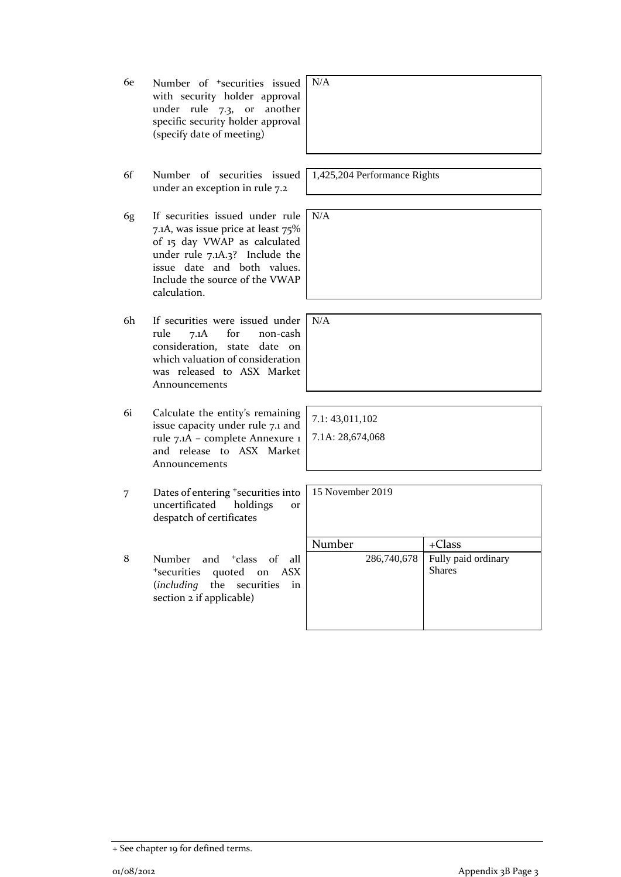6e Number of +securities issued with security holder approval under rule 7.3, or another specific security holder approval (specify date of meeting) N/A 6f Number of securities issued under an exception in rule 7.2 1,425,204 Performance Rights 6g If securities issued under rule 7.1A, was issue price at least 75% of 15 day VWAP as calculated under rule 7.1A.3? Include the issue date and both values. Include the source of the VWAP calculation. N/A 6h If securities were issued under N/A rule 7.1A for non-cash consideration, state date on which valuation of consideration was released to ASX Market Announcements 6i Calculate the entity's remaining issue capacity under rule 7.1 and rule 7.1A – complete Annexure 1 and release to ASX Market Announcements 7.1: 43,011,102 7.1A: 28,674,068 7 Dates of entering <sup>+</sup>securities into uncertificated holdings or despatch of certificates 15 November 2019 Number | +Class 8 Number and <sup>+</sup>class of all <sup>+</sup>securities quoted on ASX (*including* the securities in section 2 if applicable) 286,740,678 Fully paid ordinary Shares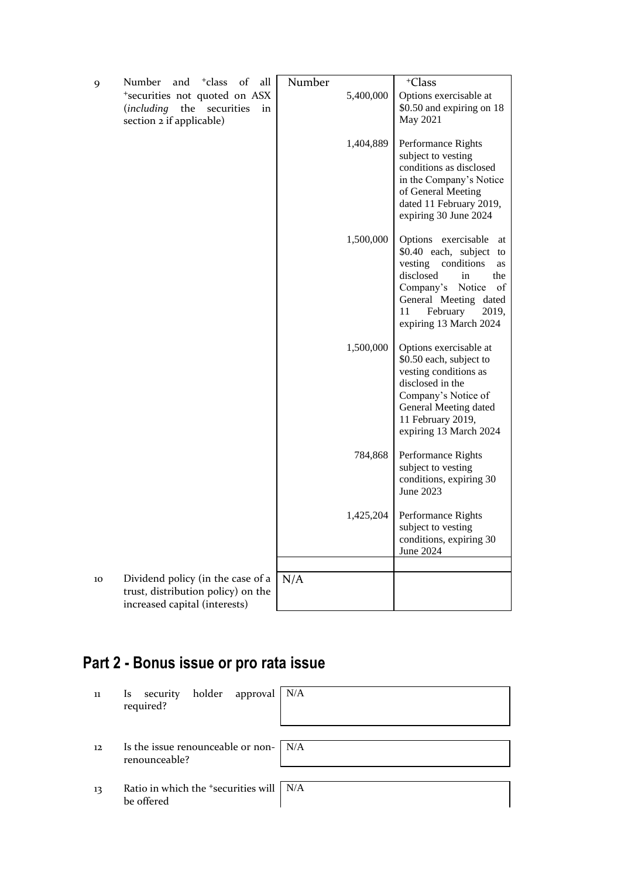| 9  | <sup>+</sup> class<br>Number<br>and<br>of<br>all                                                         | Number    | $+C$ lass                                                                                                                                                                                                                |
|----|----------------------------------------------------------------------------------------------------------|-----------|--------------------------------------------------------------------------------------------------------------------------------------------------------------------------------------------------------------------------|
|    | *securities not quoted on ASX<br>including)<br>the securities<br>in<br>section 2 if applicable)          | 5,400,000 | Options exercisable at<br>\$0.50 and expiring on 18<br>May 2021                                                                                                                                                          |
|    |                                                                                                          | 1,404,889 | Performance Rights<br>subject to vesting<br>conditions as disclosed<br>in the Company's Notice<br>of General Meeting<br>dated 11 February 2019,<br>expiring 30 June 2024                                                 |
|    |                                                                                                          | 1,500,000 | Options exercisable<br>at<br>\$0.40 each, subject<br>to<br>conditions<br>vesting<br>as<br>disclosed<br>in<br>the<br>Company's Notice<br>of<br>General Meeting dated<br>February<br>11<br>2019,<br>expiring 13 March 2024 |
|    |                                                                                                          | 1,500,000 | Options exercisable at<br>\$0.50 each, subject to<br>vesting conditions as<br>disclosed in the<br>Company's Notice of<br>General Meeting dated<br>11 February 2019,<br>expiring 13 March 2024                            |
|    |                                                                                                          | 784,868   | Performance Rights<br>subject to vesting<br>conditions, expiring 30<br>June 2023                                                                                                                                         |
|    |                                                                                                          | 1,425,204 | Performance Rights<br>subject to vesting<br>conditions, expiring 30<br>June 2024                                                                                                                                         |
|    |                                                                                                          |           |                                                                                                                                                                                                                          |
| 10 | Dividend policy (in the case of a<br>trust, distribution policy) on the<br>increased capital (interests) | N/A       |                                                                                                                                                                                                                          |

# **Part 2 - Bonus issue or pro rata issue**

| 11 | security holder approval N/A<br>$\mathbf{ls}$<br>required?     |  |
|----|----------------------------------------------------------------|--|
| 12 | Is the issue renounceable or non- $\vert$ N/A<br>renounceable? |  |
| 13 | Ratio in which the $\pm$ securities will   N/A<br>be offered   |  |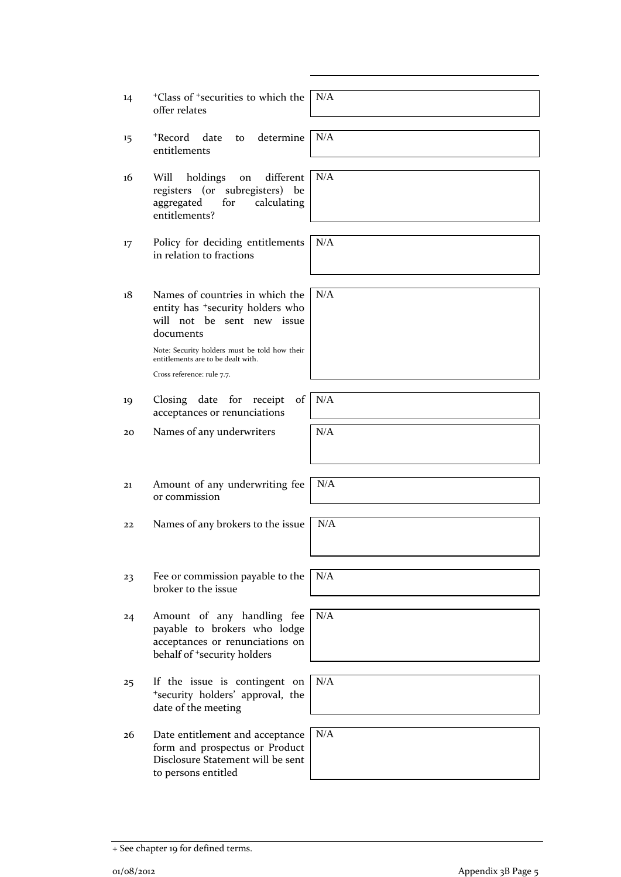- <sup>+</sup>Class of <sup>+</sup>securities to which the offer relates
- 15 <sup>+</sup>Record date to determine entitlements
- 16 Will holdings on different registers (or subregisters) be aggregated for calculating entitlements?
- 17 Policy for deciding entitlements in relation to fractions
- 18 Names of countries in which the entity has <sup>+</sup>security holders who will not be sent new issue documents

Note: Security holders must be told how their entitlements are to be dealt with.

Cross reference: rule 7.7.

- 19 Closing date for receipt of acceptances or renunciations
- $20$  Names of any underwriters  $N/A$
- 21 Amount of any underwriting fee or commission
- 22 Names of any brokers to the issue  $\vert$  N/A
- 23 Fee or commission payable to the broker to the issue
- 24 Amount of any handling fee payable to brokers who lodge acceptances or renunciations on behalf of <sup>+</sup>security holders
- 25 If the issue is contingent on <sup>+</sup>security holders' approval, the date of the meeting
- 26 Date entitlement and acceptance form and prospectus or Product Disclosure Statement will be sent to persons entitled

N/A

N/A

N/A

N/A

N/A

N/A

N/A

N/A

N/A

N/A

N/A

o1/08/2012 **Appendix 3B Page 5**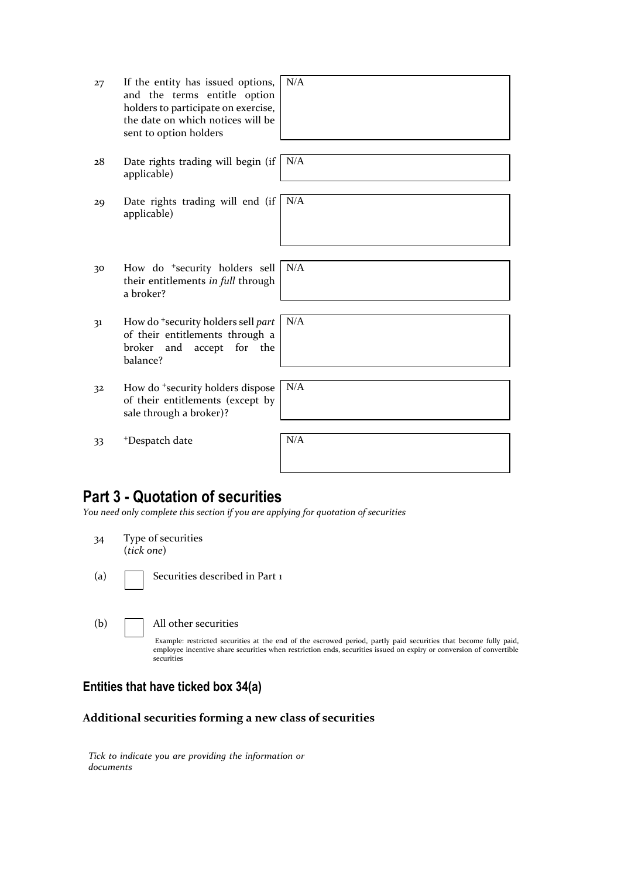| 27 | If the entity has issued options,<br>and the terms entitle option<br>holders to participate on exercise,<br>the date on which notices will be<br>sent to option holders | N/A |
|----|-------------------------------------------------------------------------------------------------------------------------------------------------------------------------|-----|
| 28 | Date rights trading will begin (if<br>applicable)                                                                                                                       | N/A |
| 29 | Date rights trading will end (if<br>applicable)                                                                                                                         | N/A |
| 30 | How do <sup>+</sup> security holders sell<br>their entitlements in full through<br>a broker?                                                                            | N/A |
| 31 | How do <sup>+</sup> security holders sell part<br>of their entitlements through a<br>broker<br>for<br>and<br>accept<br>the<br>balance?                                  | N/A |
| 32 | How do <sup>+</sup> security holders dispose<br>of their entitlements (except by<br>sale through a broker)?                                                             | N/A |
| 33 | <sup>+</sup> Despatch date                                                                                                                                              | N/A |

### **Part 3 - Quotation of securities**

*You need only complete this section if you are applying for quotation of securities*

- 34 Type of securities (*tick one*)
- (a) Securities described in Part 1

(b) All other securities

Example: restricted securities at the end of the escrowed period, partly paid securities that become fully paid, employee incentive share securities when restriction ends, securities issued on expiry or conversion of convertible securities

## **Entities that have ticked box 34(a)**

#### **Additional securities forming a new class of securities**

*Tick to indicate you are providing the information or documents*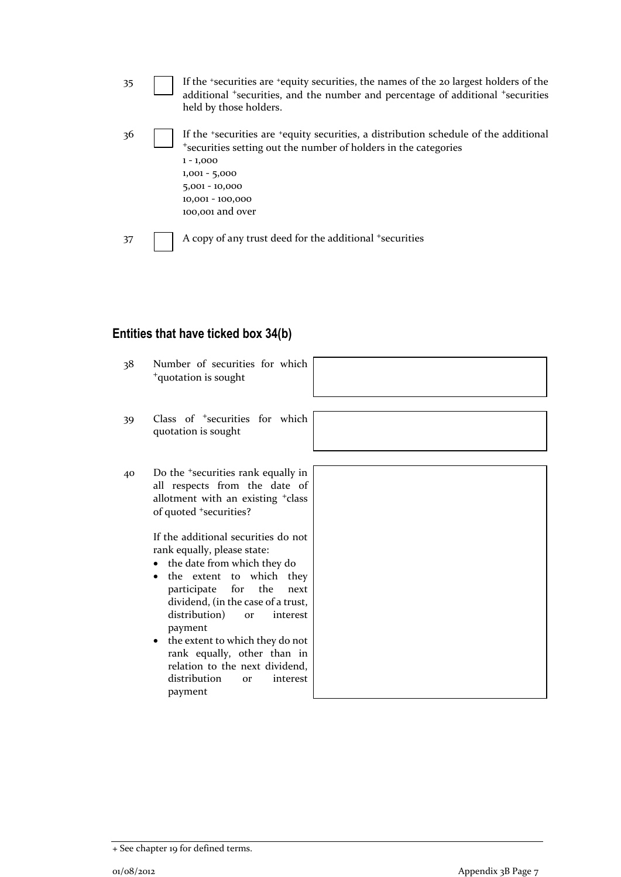35 If the <sup>+</sup>securities are <sup>+</sup>equity securities, the names of the 20 largest holders of the additional <sup>+</sup>securities, and the number and percentage of additional <sup>+</sup>securities held by those holders. 36 If the <sup>+</sup>securities are <sup>+</sup>equity securities, a distribution schedule of the additional <sup>+</sup>securities setting out the number of holders in the categories 1 - 1,000 1,001 - 5,000 5,001 - 10,000 10,001 - 100,000 100,001 and over 37 A copy of any trust deed for the additional +securities

#### **Entities that have ticked box 34(b)**

| 38 | Number of securities for which<br><sup>+</sup> quotation is sought                                                                                                                                                                                                                                                                                                                                                                                                                                                                                                                                                       |  |
|----|--------------------------------------------------------------------------------------------------------------------------------------------------------------------------------------------------------------------------------------------------------------------------------------------------------------------------------------------------------------------------------------------------------------------------------------------------------------------------------------------------------------------------------------------------------------------------------------------------------------------------|--|
| 39 | Class of <sup>+</sup> securities for which<br>quotation is sought                                                                                                                                                                                                                                                                                                                                                                                                                                                                                                                                                        |  |
| 40 | Do the <sup>+</sup> securities rank equally in<br>all respects from the date of<br>allotment with an existing <sup>+</sup> class<br>of quoted <sup>+</sup> securities?<br>If the additional securities do not<br>rank equally, please state:<br>• the date from which they do<br>the extent to which they<br>$\bullet$<br>participate<br>for the<br>next<br>dividend, (in the case of a trust,<br>distribution)<br>interest<br><b>or</b><br>payment<br>the extent to which they do not<br>$\bullet$<br>rank equally, other than in<br>relation to the next dividend,<br>distribution<br>interest<br><b>or</b><br>payment |  |

<sup>+</sup> See chapter 19 for defined terms.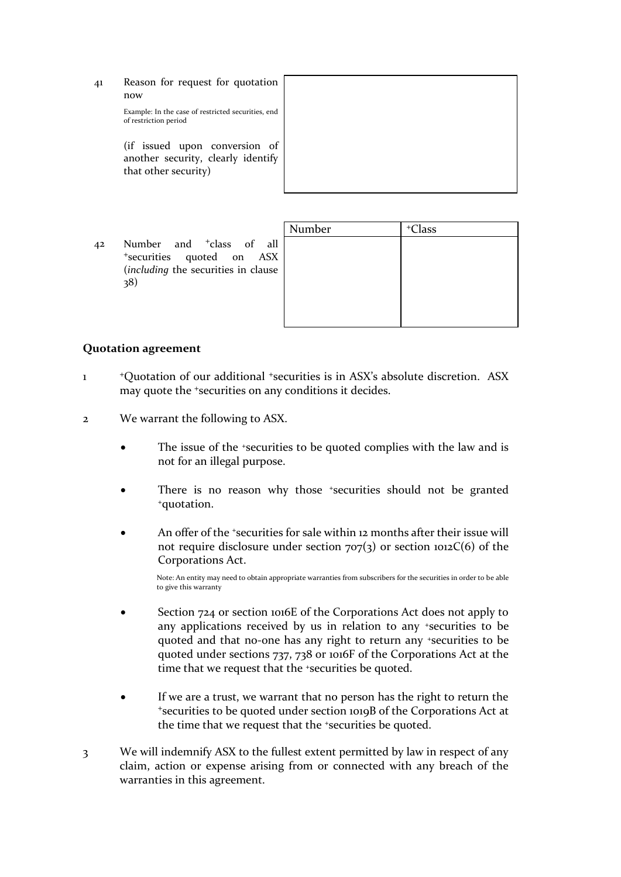41 Reason for request for quotation now

> Example: In the case of restricted securities, end of restriction period

> (if issued upon conversion of another security, clearly identify that other security)



42 Number and <sup>+</sup>class of all <sup>+</sup>securities quoted on ASX (*including* the securities in clause 38)

| Number | <sup>+</sup> Class |
|--------|--------------------|
|        |                    |
|        |                    |
|        |                    |
|        |                    |
|        |                    |
|        |                    |

#### **Quotation agreement**

- 1 <sup>+</sup>Quotation of our additional <sup>+</sup>securities is in ASX's absolute discretion. ASX may quote the <sup>+</sup>securities on any conditions it decides.
- 2 We warrant the following to ASX.
	- The issue of the *\*securities* to be quoted complies with the law and is not for an illegal purpose.
	- There is no reason why those *\*securities* should not be granted <sup>+</sup>quotation.
	- An offer of the *'securities* for sale within 12 months after their issue will not require disclosure under section  $707(3)$  or section 1012C(6) of the Corporations Act.

Note: An entity may need to obtain appropriate warranties from subscribers for the securities in order to be able to give this warranty

- Section 724 or section 1016E of the Corporations Act does not apply to any applications received by us in relation to any +securities to be quoted and that no-one has any right to return any +securities to be quoted under sections 737, 738 or 1016F of the Corporations Act at the time that we request that the <sup>+</sup>securities be quoted.
- If we are a trust, we warrant that no person has the right to return the <sup>+</sup>securities to be quoted under section 1019B of the Corporations Act at the time that we request that the +securities be quoted.
- 3 We will indemnify ASX to the fullest extent permitted by law in respect of any claim, action or expense arising from or connected with any breach of the warranties in this agreement.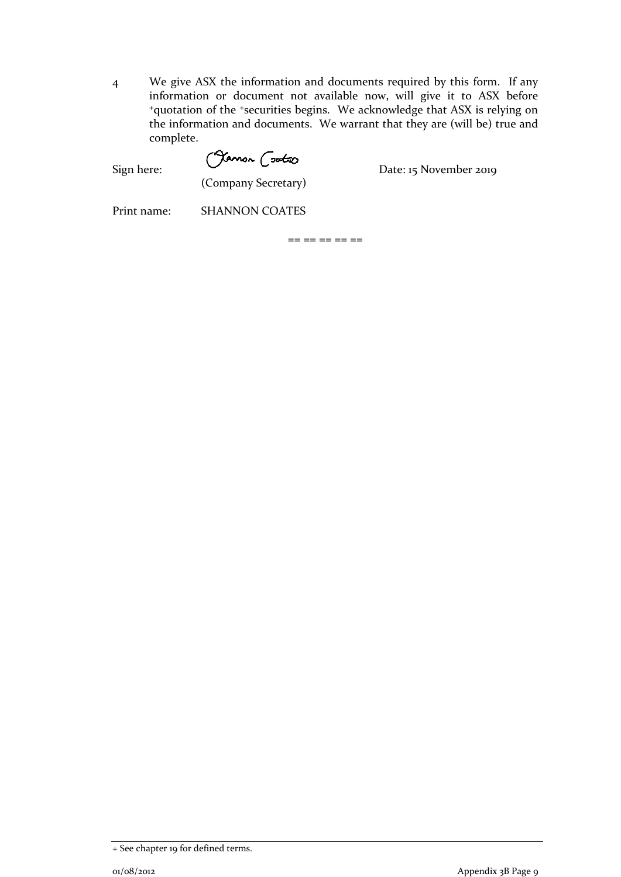4 We give ASX the information and documents required by this form. If any information or document not available now, will give it to ASX before <sup>+</sup>quotation of the <sup>+</sup>securities begins. We acknowledge that ASX is relying on the information and documents. We warrant that they are (will be) true and complete.

Sign here: Chamon Contract Date: 15 November 2019

(Company Secretary)

Print name: SHANNON COATES

 $== == == == ==$ 

<sup>+</sup> See chapter 19 for defined terms.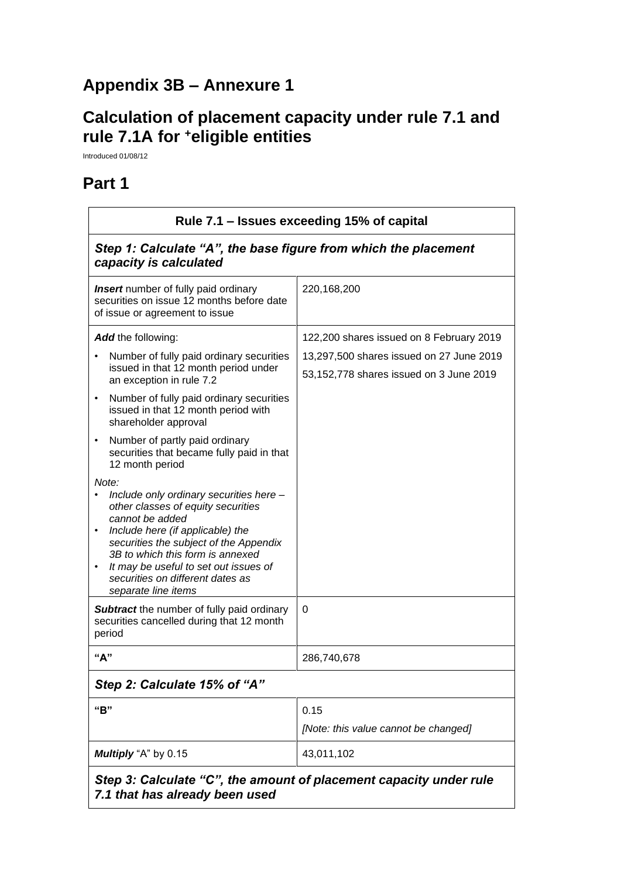## **Appendix 3B – Annexure 1**

## **Calculation of placement capacity under rule 7.1 and rule 7.1A for <sup>+</sup>eligible entities**

Introduced 01/08/12

## **Part 1**

| Rule 7.1 – Issues exceeding 15% of capital                                                                                                                                                                                                                                                                                                                |                                                                                     |  |
|-----------------------------------------------------------------------------------------------------------------------------------------------------------------------------------------------------------------------------------------------------------------------------------------------------------------------------------------------------------|-------------------------------------------------------------------------------------|--|
| Step 1: Calculate "A", the base figure from which the placement<br>capacity is calculated                                                                                                                                                                                                                                                                 |                                                                                     |  |
| <b>Insert</b> number of fully paid ordinary<br>securities on issue 12 months before date<br>of issue or agreement to issue                                                                                                                                                                                                                                | 220,168,200                                                                         |  |
| <b>Add</b> the following:                                                                                                                                                                                                                                                                                                                                 | 122,200 shares issued on 8 February 2019                                            |  |
| Number of fully paid ordinary securities<br>issued in that 12 month period under<br>an exception in rule 7.2                                                                                                                                                                                                                                              | 13,297,500 shares issued on 27 June 2019<br>53,152,778 shares issued on 3 June 2019 |  |
| Number of fully paid ordinary securities<br>$\bullet$<br>issued in that 12 month period with<br>shareholder approval                                                                                                                                                                                                                                      |                                                                                     |  |
| Number of partly paid ordinary<br>$\bullet$<br>securities that became fully paid in that<br>12 month period                                                                                                                                                                                                                                               |                                                                                     |  |
| Note:<br>Include only ordinary securities here -<br>other classes of equity securities<br>cannot be added<br>Include here (if applicable) the<br>$\bullet$<br>securities the subject of the Appendix<br>3B to which this form is annexed<br>It may be useful to set out issues of<br>$\bullet$<br>securities on different dates as<br>separate line items |                                                                                     |  |
| <b>Subtract</b> the number of fully paid ordinary<br>securities cancelled during that 12 month<br>period                                                                                                                                                                                                                                                  | $\Omega$                                                                            |  |
| "A"                                                                                                                                                                                                                                                                                                                                                       | 286,740,678                                                                         |  |
| Step 2: Calculate 15% of "A"                                                                                                                                                                                                                                                                                                                              |                                                                                     |  |
| "B"                                                                                                                                                                                                                                                                                                                                                       | 0.15<br>[Note: this value cannot be changed]                                        |  |
| Multiply "A" by 0.15                                                                                                                                                                                                                                                                                                                                      | 43,011,102                                                                          |  |
| Step 3: Calculate "C", the amount of placement capacity under rule                                                                                                                                                                                                                                                                                        |                                                                                     |  |

*7.1 that has already been used*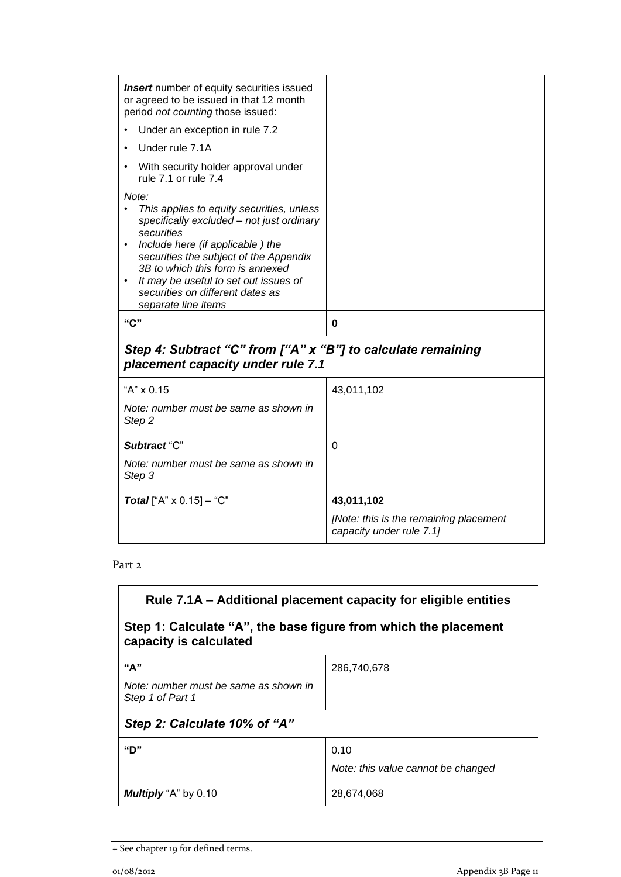| <b>Insert</b> number of equity securities issued<br>or agreed to be issued in that 12 month<br>period not counting those issued:                                                                                                                                                                   |            |
|----------------------------------------------------------------------------------------------------------------------------------------------------------------------------------------------------------------------------------------------------------------------------------------------------|------------|
| Under an exception in rule 7.2                                                                                                                                                                                                                                                                     |            |
| Under rule 7.1A                                                                                                                                                                                                                                                                                    |            |
| With security holder approval under<br>rule 7.1 or rule 7.4                                                                                                                                                                                                                                        |            |
| Note:<br>This applies to equity securities, unless<br>$\bullet$<br>specifically excluded - not just ordinary<br>securities<br>Include here (if applicable) the<br>$\bullet$<br>securities the subject of the Appendix<br>3B to which this form is annexed<br>It may be useful to set out issues of |            |
| securities on different dates as<br>separate line items                                                                                                                                                                                                                                            |            |
| "C"                                                                                                                                                                                                                                                                                                | 0          |
| Step 4: Subtract "C" from ["A" x "B"] to calculate remaining<br>placement capacity under rule 7.1                                                                                                                                                                                                  |            |
| "A" x 0.15                                                                                                                                                                                                                                                                                         | 43,011,102 |
| Note: number must be same as shown in<br>Step <sub>2</sub>                                                                                                                                                                                                                                         |            |
| Subtract "C"                                                                                                                                                                                                                                                                                       | $\Omega$   |
| Note: number must be same as shown in<br>Step 3                                                                                                                                                                                                                                                    |            |
| <b>Total</b> ["A" $\times$ 0.15] – "C"                                                                                                                                                                                                                                                             | 43,011,102 |

#### Part 2

| Rule 7.1A – Additional placement capacity for eligible entities                           |             |  |
|-------------------------------------------------------------------------------------------|-------------|--|
| Step 1: Calculate "A", the base figure from which the placement<br>capacity is calculated |             |  |
| "А"                                                                                       | 286,740,678 |  |
| Note: number must be same as shown in<br>Step 1 of Part 1                                 |             |  |
| Step 2: Calculate 10% of "A"                                                              |             |  |
| "ח"                                                                                       | 0.10        |  |
| Note: this value cannot be changed                                                        |             |  |
| <b>Multiply</b> "A" by 0.10                                                               | 28,674,068  |  |

<sup>+</sup> See chapter 19 for defined terms.